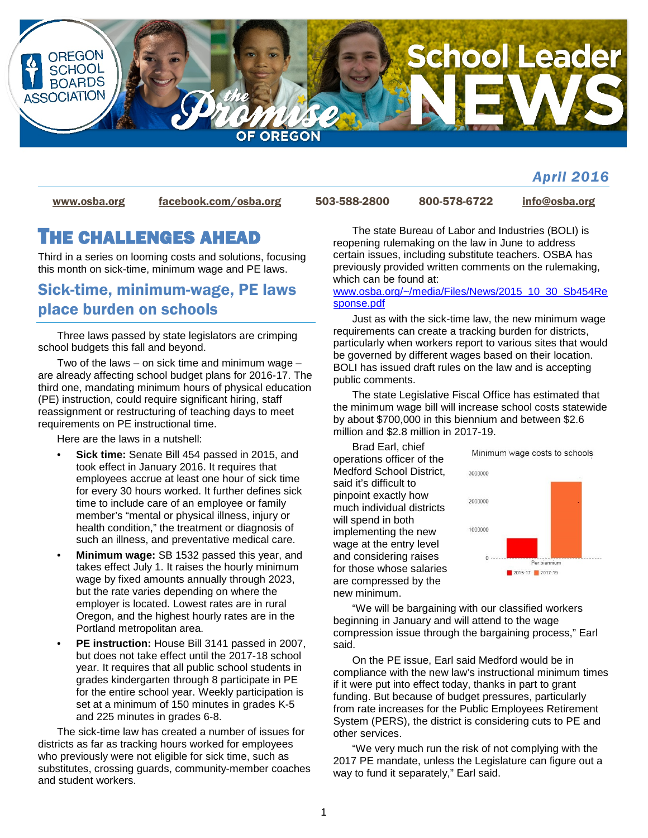

## *April 2016*

[www.osba.org](http://www.osba.org/) [facebook.com/osba.org](http://www.facebook.com/osba.org) 503-588-2800 800-578-6722 [info@osba.org](mailto:info@osba.org)

# THE CHALLENGES AHEAD

Third in a series on looming costs and solutions, focusing this month on sick-time, minimum wage and PE laws.

# Sick-time, minimum-wage, PE laws place burden on schools

Three laws passed by state legislators are crimping school budgets this fall and beyond.

Two of the laws – on sick time and minimum wage – are already affecting school budget plans for 2016-17. The third one, mandating minimum hours of physical education (PE) instruction, could require significant hiring, staff reassignment or restructuring of teaching days to meet requirements on PE instructional time.

Here are the laws in a nutshell:

- **Sick time:** Senate Bill 454 passed in 2015, and took effect in January 2016. It requires that employees accrue at least one hour of sick time for every 30 hours worked. It further defines sick time to include care of an employee or family member's "mental or physical illness, injury or health condition," the treatment or diagnosis of such an illness, and preventative medical care.
- **Minimum wage:** SB 1532 passed this year, and takes effect July 1. It raises the hourly minimum wage by fixed amounts annually through 2023, but the rate varies depending on where the employer is located. Lowest rates are in rural Oregon, and the highest hourly rates are in the Portland metropolitan area.
- **PE instruction:** House Bill 3141 passed in 2007, but does not take effect until the 2017-18 school year. It requires that all public school students in grades kindergarten through 8 participate in PE for the entire school year. Weekly participation is set at a minimum of 150 minutes in grades K-5 and 225 minutes in grades 6-8.

The sick-time law has created a number of issues for districts as far as tracking hours worked for employees who previously were not eligible for sick time, such as substitutes, crossing guards, community-member coaches and student workers.

The state Bureau of Labor and Industries (BOLI) is reopening rulemaking on the law in June to address certain issues, including substitute teachers. OSBA has previously provided written comments on the rulemaking, which can be found at:

#### [www.osba.org/~/media/Files/News/2015\\_10\\_30\\_Sb454Re](http://www.osba.org/%7E/media/Files/News/2015_10_30_Sb454Response.pdf) [sponse.pdf](http://www.osba.org/%7E/media/Files/News/2015_10_30_Sb454Response.pdf)

Just as with the sick-time law, the new minimum wage requirements can create a tracking burden for districts, particularly when workers report to various sites that would be governed by different wages based on their location. BOLI has issued draft rules on the law and is accepting public comments.

The state Legislative Fiscal Office has estimated that the minimum wage bill will increase school costs statewide by about \$700,000 in this biennium and between \$2.6 million and \$2.8 million in 2017-19.

Brad Earl, chief operations officer of the Medford School District, said it's difficult to pinpoint exactly how much individual districts will spend in both implementing the new wage at the entry level and considering raises for those whose salaries are compressed by the new minimum.



"We will be bargaining with our classified workers beginning in January and will attend to the wage compression issue through the bargaining process," Earl said.

On the PE issue, Earl said Medford would be in compliance with the new law's instructional minimum times if it were put into effect today, thanks in part to grant funding. But because of budget pressures, particularly from rate increases for the Public Employees Retirement System (PERS), the district is considering cuts to PE and other services.

"We very much run the risk of not complying with the 2017 PE mandate, unless the Legislature can figure out a way to fund it separately," Earl said.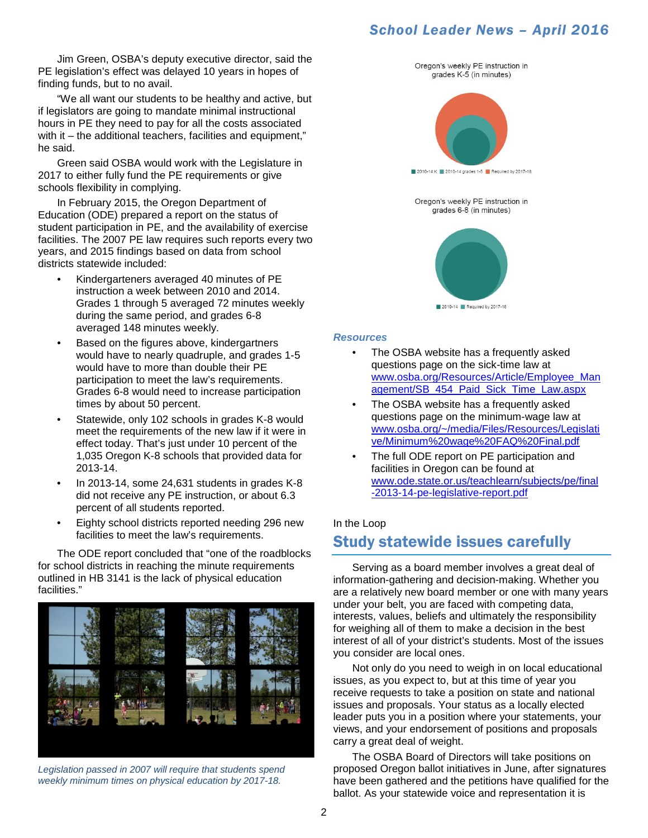Jim Green, OSBA's deputy executive director, said the PE legislation's effect was delayed 10 years in hopes of finding funds, but to no avail.

"We all want our students to be healthy and active, but if legislators are going to mandate minimal instructional hours in PE they need to pay for all the costs associated with it – the additional teachers, facilities and equipment," he said.

Green said OSBA would work with the Legislature in 2017 to either fully fund the PE requirements or give schools flexibility in complying.

In February 2015, the Oregon Department of Education (ODE) prepared a report on the status of student participation in PE, and the availability of exercise facilities. The 2007 PE law requires such reports every two years, and 2015 findings based on data from school districts statewide included:

- Kindergarteners averaged 40 minutes of PE instruction a week between 2010 and 2014. Grades 1 through 5 averaged 72 minutes weekly during the same period, and grades 6-8 averaged 148 minutes weekly.
- Based on the figures above, kindergartners would have to nearly quadruple, and grades 1-5 would have to more than double their PE participation to meet the law's requirements. Grades 6-8 would need to increase participation times by about 50 percent.
- Statewide, only 102 schools in grades K-8 would meet the requirements of the new law if it were in effect today. That's just under 10 percent of the 1,035 Oregon K-8 schools that provided data for 2013-14.
- In 2013-14, some 24,631 students in grades K-8 did not receive any PE instruction, or about 6.3 percent of all students reported.
- Eighty school districts reported needing 296 new facilities to meet the law's requirements.

The ODE report concluded that "one of the roadblocks for school districts in reaching the minute requirements outlined in HB 3141 is the lack of physical education facilities."



*Legislation passed in 2007 will require that students spend weekly minimum times on physical education by 2017-18.* 





#### *Resources*

- The OSBA website has a frequently asked questions page on the sick-time law at [www.osba.org/Resources/Article/Employee\\_Man](http://www.osba.org/Resources/Article/Employee_Management/SB_454_Paid_Sick_Time_Law.aspx) [agement/SB\\_454\\_Paid\\_Sick\\_Time\\_Law.aspx](http://www.osba.org/Resources/Article/Employee_Management/SB_454_Paid_Sick_Time_Law.aspx)
- The OSBA website has a frequently asked questions page on the minimum-wage law at [www.osba.org/~/media/Files/Resources/Legislati](http://www.osba.org/%7E/media/Files/Resources/Legislative/Minimum%20wage%20FAQ%20Final.pdf) [ve/Minimum%20wage%20FAQ%20Final.pdf](http://www.osba.org/%7E/media/Files/Resources/Legislative/Minimum%20wage%20FAQ%20Final.pdf)
- The full ODE report on PE participation and facilities in Oregon can be found at [www.ode.state.or.us/teachlearn/subjects/pe/final](http://www.ode.state.or.us/teachlearn/subjects/pe/final-2013-14-pe-legislative-report.pdf) [-2013-14-pe-legislative-report.pdf](http://www.ode.state.or.us/teachlearn/subjects/pe/final-2013-14-pe-legislative-report.pdf)

#### In the Loop

## Study statewide issues carefully

Serving as a board member involves a great deal of information-gathering and decision-making. Whether you are a relatively new board member or one with many years under your belt, you are faced with competing data, interests, values, beliefs and ultimately the responsibility for weighing all of them to make a decision in the best interest of all of your district's students. Most of the issues you consider are local ones.

Not only do you need to weigh in on local educational issues, as you expect to, but at this time of year you receive requests to take a position on state and national issues and proposals. Your status as a locally elected leader puts you in a position where your statements, your views, and your endorsement of positions and proposals carry a great deal of weight.

The OSBA Board of Directors will take positions on proposed Oregon ballot initiatives in June, after signatures have been gathered and the petitions have qualified for the ballot. As your statewide voice and representation it is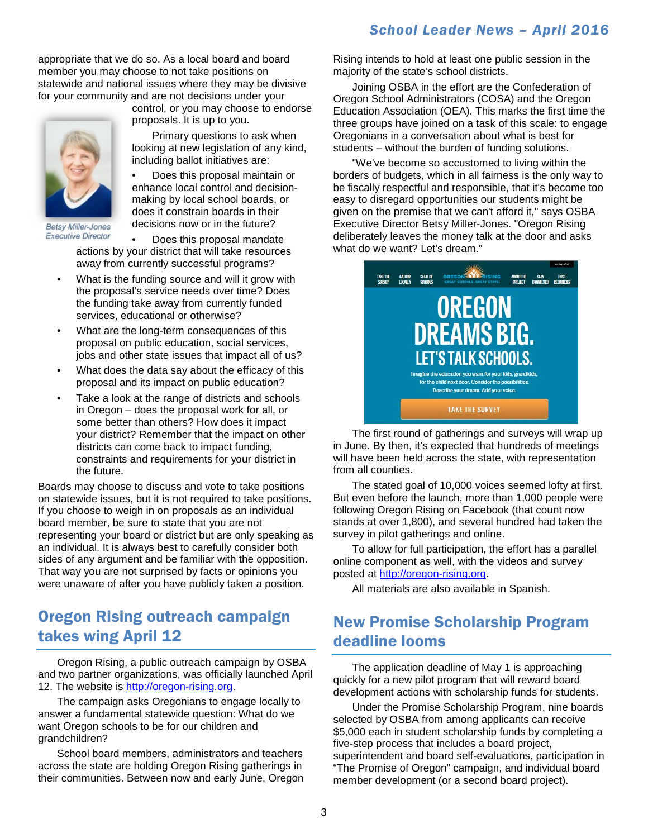appropriate that we do so. As a local board and board member you may choose to not take positions on statewide and national issues where they may be divisive for your community and are not decisions under your



**Betsy Miller-Jones Executive Director** 

control, or you may choose to endorse proposals. It is up to you.

Primary questions to ask when looking at new legislation of any kind, including ballot initiatives are:

• Does this proposal maintain or enhance local control and decisionmaking by local school boards, or does it constrain boards in their decisions now or in the future?

• Does this proposal mandate actions by your district that will take resources away from currently successful programs?

- What is the funding source and will it grow with the proposal's service needs over time? Does the funding take away from currently funded services, educational or otherwise?
- What are the long-term consequences of this proposal on public education, social services, jobs and other state issues that impact all of us?
- What does the data say about the efficacy of this proposal and its impact on public education?
- Take a look at the range of districts and schools in Oregon – does the proposal work for all, or some better than others? How does it impact your district? Remember that the impact on other districts can come back to impact funding, constraints and requirements for your district in the future.

Boards may choose to discuss and vote to take positions on statewide issues, but it is not required to take positions. If you choose to weigh in on proposals as an individual board member, be sure to state that you are not representing your board or district but are only speaking as an individual. It is always best to carefully consider both sides of any argument and be familiar with the opposition. That way you are not surprised by facts or opinions you were unaware of after you have publicly taken a position.

# Oregon Rising outreach campaign takes wing April 12

Oregon Rising, a public outreach campaign by OSBA and two partner organizations, was officially launched April 12. The website is [http://oregon-rising.org.](http://oregon-rising.org/)

 The campaign asks Oregonians to engage locally to answer a fundamental statewide question: What do we want Oregon schools to be for our children and grandchildren?

School board members, administrators and teachers across the state are holding Oregon Rising gatherings in their communities. Between now and early June, Oregon Rising intends to hold at least one public session in the majority of the state's school districts.

Joining OSBA in the effort are the Confederation of Oregon School Administrators (COSA) and the Oregon Education Association (OEA). This marks the first time the three groups have joined on a task of this scale: to engage Oregonians in a conversation about what is best for students – without the burden of funding solutions.

"We've become so accustomed to living within the borders of budgets, which in all fairness is the only way to be fiscally respectful and responsible, that it's become too easy to disregard opportunities our students might be given on the premise that we can't afford it," says OSBA Executive Director Betsy Miller-Jones. "Oregon Rising deliberately leaves the money talk at the door and asks what do we want? Let's dream."



The first round of gatherings and surveys will wrap up in June. By then, it's expected that hundreds of meetings will have been held across the state, with representation from all counties.

The stated goal of 10,000 voices seemed lofty at first. But even before the launch, more than 1,000 people were following Oregon Rising on Facebook (that count now stands at over 1,800), and several hundred had taken the survey in pilot gatherings and online.

To allow for full participation, the effort has a parallel online component as well, with the videos and survey posted at [http://oregon-rising.org.](http://oregon-rising.org/)

All materials are also available in Spanish.

# New Promise Scholarship Program deadline looms

The application deadline of May 1 is approaching quickly for a new pilot program that will reward board development actions with scholarship funds for students.

Under the Promise Scholarship Program, nine boards selected by OSBA from among applicants can receive \$5,000 each in student scholarship funds by completing a five-step process that includes a board project, superintendent and board self-evaluations, participation in "The Promise of Oregon" campaign, and individual board member development (or a second board project).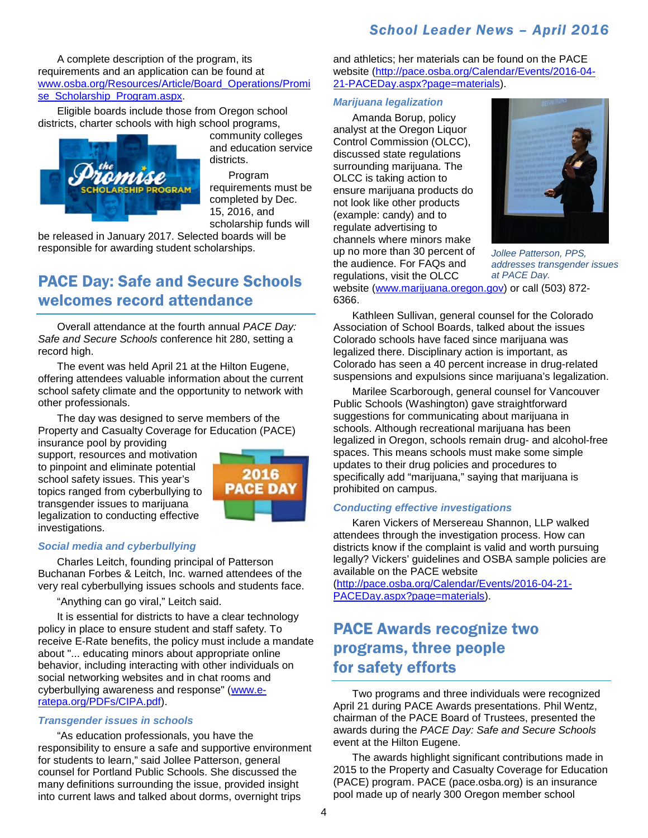A complete description of the program, its requirements and an application can be found at [www.osba.org/Resources/Article/Board\\_Operations/Promi](http://www.osba.org/Resources/Article/Board_Operations/Promise_Scholarship_Program.aspx) se Scholarship Program.aspx.

Eligible boards include those from Oregon school districts, charter schools with high school programs,



community colleges and education service districts.

Program requirements must be completed by Dec. 15, 2016, and scholarship funds will

be released in January 2017. Selected boards will be responsible for awarding student scholarships.

# PACE Day: Safe and Secure Schools welcomes record attendance

Overall attendance at the fourth annual *PACE Day: Safe and Secure Schools* conference hit 280, setting a record high.

The event was held April 21 at the Hilton Eugene, offering attendees valuable information about the current school safety climate and the opportunity to network with other professionals.

The day was designed to serve members of the Property and Casualty Coverage for Education (PACE)

insurance pool by providing support, resources and motivation to pinpoint and eliminate potential school safety issues. This year's topics ranged from cyberbullying to transgender issues to marijuana legalization to conducting effective investigations.



#### *Social media and cyberbullying*

Charles Leitch, founding principal of Patterson Buchanan Forbes & Leitch, Inc. warned attendees of the very real cyberbullying issues schools and students face.

"Anything can go viral," Leitch said.

It is essential for districts to have a clear technology policy in place to ensure student and staff safety. To receive E-Rate benefits, the policy must include a mandate about "... educating minors about appropriate online behavior, including interacting with other individuals on social networking websites and in chat rooms and cyberbullying awareness and response" [\(www.e](http://www.e-ratepa.org/PDFs/CIPA.pdf)[ratepa.org/PDFs/CIPA.pdf\)](http://www.e-ratepa.org/PDFs/CIPA.pdf).

#### *Transgender issues in schools*

"As education professionals, you have the responsibility to ensure a safe and supportive environment for students to learn," said Jollee Patterson, general counsel for Portland Public Schools. She discussed the many definitions surrounding the issue, provided insight into current laws and talked about dorms, overnight trips

and athletics; her materials can be found on the PACE website [\(http://pace.osba.org/Calendar/Events/2016-04-](http://pace.osba.org/Calendar/Events/2016-04-21-PACEDay.aspx?page=materials) [21-PACEDay.aspx?page=materials\)](http://pace.osba.org/Calendar/Events/2016-04-21-PACEDay.aspx?page=materials).

#### *Marijuana legalization*

Amanda Borup, policy analyst at the Oregon Liquor Control Commission (OLCC), discussed state regulations surrounding marijuana. The OLCC is taking action to ensure marijuana products do not look like other products (example: candy) and to regulate advertising to channels where minors make up no more than 30 percent of the audience. For FAQs and regulations, visit the OLCC

6366.



website [\(www.marijuana.oregon.gov\)](http://www.marijuana.oregon.gov/) or call (503) 872- *Jollee Patterson, PPS, addresses transgender issues at PACE Day.*

Kathleen Sullivan, general counsel for the Colorado Association of School Boards, talked about the issues Colorado schools have faced since marijuana was legalized there. Disciplinary action is important, as Colorado has seen a 40 percent increase in drug-related suspensions and expulsions since marijuana's legalization.

Marilee Scarborough, general counsel for Vancouver Public Schools (Washington) gave straightforward suggestions for communicating about marijuana in schools. Although recreational marijuana has been legalized in Oregon, schools remain drug- and alcohol-free spaces. This means schools must make some simple updates to their drug policies and procedures to specifically add "marijuana," saying that marijuana is prohibited on campus.

#### *Conducting effective investigations*

Karen Vickers of Mersereau Shannon, LLP walked attendees through the investigation process. How can districts know if the complaint is valid and worth pursuing legally? Vickers' guidelines and OSBA sample policies are available on the PACE website

[\(http://pace.osba.org/Calendar/Events/2016-04-21-](http://pace.osba.org/Calendar/Events/2016-04-21-PACEDay.aspx?page=materials) [PACEDay.aspx?page=materials\)](http://pace.osba.org/Calendar/Events/2016-04-21-PACEDay.aspx?page=materials).

# PACE Awards recognize two programs, three people for safety efforts

Two programs and three individuals were recognized April 21 during PACE Awards presentations. Phil Wentz, chairman of the PACE Board of Trustees, presented the awards during the *PACE Day: Safe and Secure Schools* event at the Hilton Eugene.

The awards highlight significant contributions made in 2015 to the Property and Casualty Coverage for Education (PACE) program. PACE (pace.osba.org) is an insurance pool made up of nearly 300 Oregon member school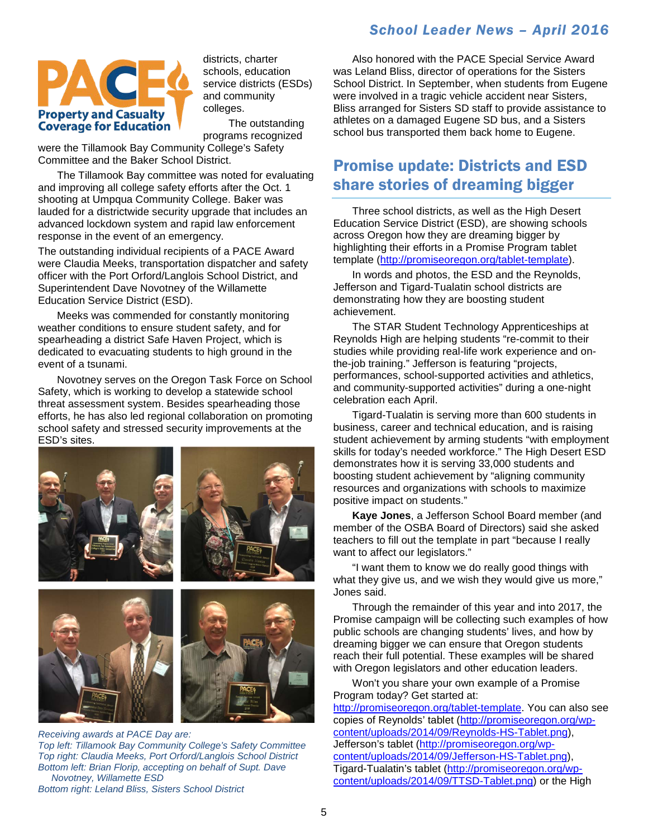

districts, charter schools, education service districts (ESDs) and community colleges.

The outstanding programs recognized

were the Tillamook Bay Community College's Safety Committee and the Baker School District.

The Tillamook Bay committee was noted for evaluating and improving all college safety efforts after the Oct. 1 shooting at Umpqua Community College. Baker was lauded for a districtwide security upgrade that includes an advanced lockdown system and rapid law enforcement response in the event of an emergency.

The outstanding individual recipients of a PACE Award were Claudia Meeks, transportation dispatcher and safety officer with the Port Orford/Langlois School District, and Superintendent Dave Novotney of the Willamette Education Service District (ESD).

Meeks was commended for constantly monitoring weather conditions to ensure student safety, and for spearheading a district Safe Haven Project, which is dedicated to evacuating students to high ground in the event of a tsunami.

Novotney serves on the Oregon Task Force on School Safety, which is working to develop a statewide school threat assessment system. Besides spearheading those efforts, he has also led regional collaboration on promoting school safety and stressed security improvements at the [ESD's sites.](http://pace.osba.org/Benefits/Articles/Awards-Program.aspx)





*Receiving awards at PACE Day are: Top left: Tillamook Bay Community College's Safety Committee Top right: Claudia Meeks, Port Orford/Langlois School District Bottom left: Brian Florip, accepting on behalf of Supt. Dave Novotney, Willamette ESD Bottom right: Leland Bliss, Sisters School District*

Also honored with the PACE Special Service Award was Leland Bliss, director of operations for the Sisters School District. In September, when students from Eugene were involved in a tragic vehicle accident near Sisters, Bliss arranged for Sisters SD staff to provide assistance to athletes on a damaged Eugene SD bus, and a Sisters school bus transported them back home to Eugene.

## Promise update: Districts and ESD share stories of dreaming bigger

Three school districts, as well as the High Desert Education Service District (ESD), are showing schools across Oregon how they are dreaming bigger by highlighting their efforts in a Promise Program tablet template [\(http://promiseoregon.org/tablet-template\)](http://promiseoregon.org/tablet-template).

In words and photos, the ESD and the Reynolds, Jefferson and Tigard-Tualatin school districts are demonstrating how they are boosting student achievement.

The STAR Student Technology Apprenticeships at Reynolds High are helping students "re-commit to their studies while providing real-life work experience and onthe-job training." Jefferson is featuring "projects, performances, school-supported activities and athletics, and community-supported activities" during a one-night celebration each April.

Tigard-Tualatin is serving more than 600 students in business, career and technical education, and is raising student achievement by arming students "with employment skills for today's needed workforce." The High Desert ESD demonstrates how it is serving 33,000 students and boosting student achievement by "aligning community resources and organizations with schools to maximize positive impact on students."

**Kaye Jones**, a Jefferson School Board member (and member of the OSBA Board of Directors) said she asked teachers to fill out the template in part "because I really want to affect our legislators."

"I want them to know we do really good things with what they give us, and we wish they would give us more," Jones said.

Through the remainder of this year and into 2017, the Promise campaign will be collecting such examples of how public schools are changing students' lives, and how by dreaming bigger we can ensure that Oregon students reach their full potential. These examples will be shared with Oregon legislators and other education leaders.

Won't you share your own example of a Promise Program today? Get started at:

[http://promiseoregon.org/tablet-template.](http://promiseoregon.org/tablet-template) You can also see copies of Reynolds' tablet [\(http://promiseoregon.org/wp](http://promiseoregon.org/wp-content/uploads/2014/09/Reynolds-HS-Tablet.png)[content/uploads/2014/09/Reynolds-HS-Tablet.png\)](http://promiseoregon.org/wp-content/uploads/2014/09/Reynolds-HS-Tablet.png), Jefferson's tablet [\(http://promiseoregon.org/wp](http://promiseoregon.org/wp-content/uploads/2014/09/Jefferson-HS-Tablet.png)[content/uploads/2014/09/Jefferson-HS-Tablet.png\)](http://promiseoregon.org/wp-content/uploads/2014/09/Jefferson-HS-Tablet.png), Tigard-Tualatin's tablet [\(http://promiseoregon.org/wp](http://promiseoregon.org/wp-content/uploads/2014/09/TTSD-Tablet.png)[content/uploads/2014/09/TTSD-Tablet.png\)](http://promiseoregon.org/wp-content/uploads/2014/09/TTSD-Tablet.png) or the High